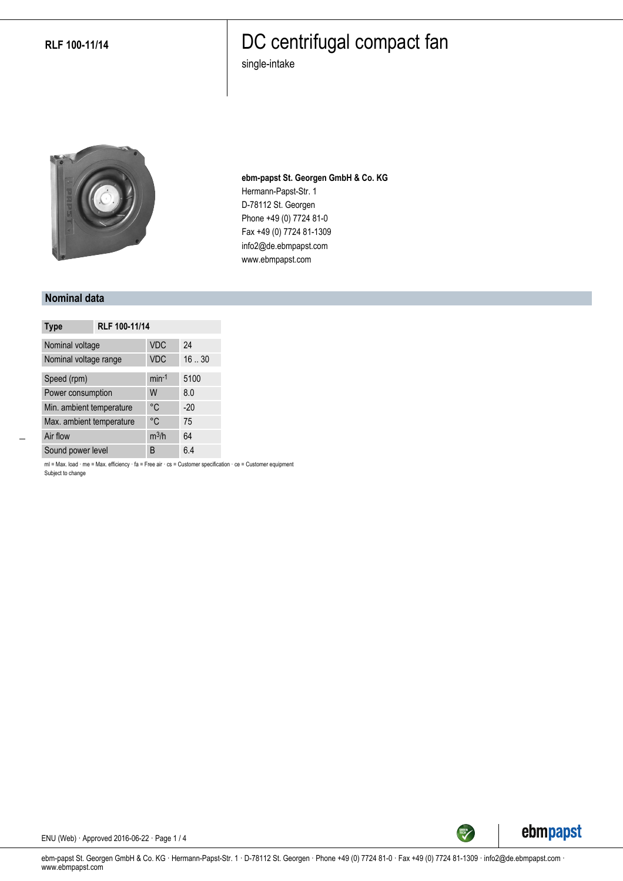**RLF 100-11/14**

### DC centrifugal compact fan

single-intake



**ebm-papst St. Georgen GmbH & Co. KG** Hermann-Papst-Str. 1 D-78112 St. Georgen Phone +49 (0) 7724 81-0 Fax +49 (0) 7724 81-1309 info2@de.ebmpapst.com www.ebmpapst.com

#### **Nominal data**

| <b>Type</b>              | RLF 100-11/14 |            |       |
|--------------------------|---------------|------------|-------|
| Nominal voltage          |               | <b>VDC</b> | 24    |
| Nominal voltage range    |               | <b>VDC</b> | 1630  |
| Speed (rpm)              |               | $min-1$    | 5100  |
| Power consumption        |               | W          | 8.0   |
| Min. ambient temperature |               | °C         | $-20$ |
| Max. ambient temperature |               | °C         | 75    |
| Air flow                 |               | $m^3/h$    | 64    |
| Sound power level        |               | B          | 6.4   |

ml = Max. load · me = Max. efficiency · fa = Free air · cs = Customer specification · ce = Customer equipment Subject to change



ENU (Web) · Approved 2016-06-22 · Page 1 / 4

ebm-papst St. Georgen GmbH & Co. KG · Hermann-Papst-Str. 1 · D-78112 St. Georgen · Phone +49 (0) 7724 81-0 · Fax +49 (0) 7724 81-1309 · info2@de.ebmpapst.com · www.ebmpapst.com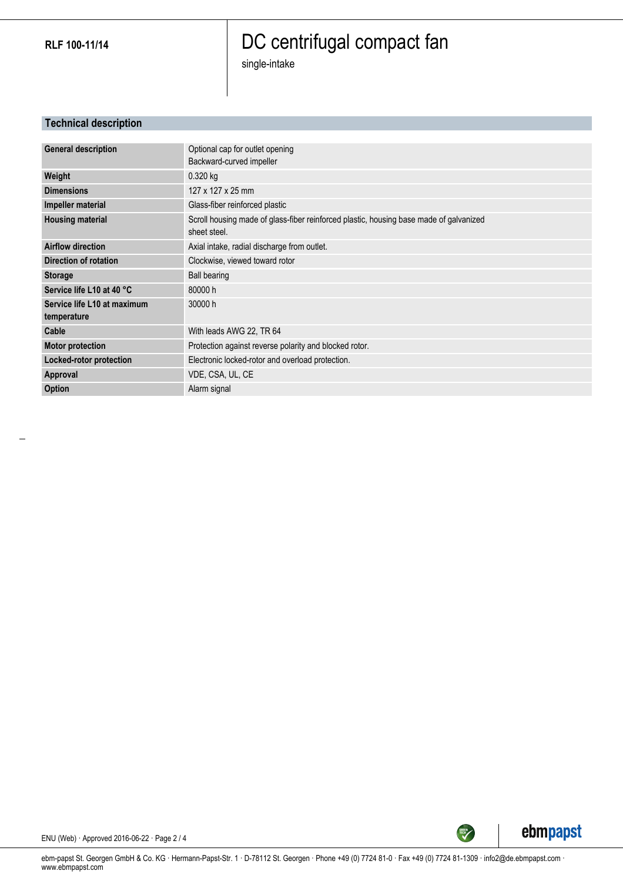**RLF 100-11/14**

# DC centrifugal compact fan

single-intake

### **Technical description**

| <b>General description</b>  | Optional cap for outlet opening                                                        |
|-----------------------------|----------------------------------------------------------------------------------------|
|                             | Backward-curved impeller                                                               |
| Weight                      | $0.320$ kg                                                                             |
| <b>Dimensions</b>           | 127 x 127 x 25 mm                                                                      |
| Impeller material           | Glass-fiber reinforced plastic                                                         |
| <b>Housing material</b>     | Scroll housing made of glass-fiber reinforced plastic, housing base made of galvanized |
|                             | sheet steel.                                                                           |
| <b>Airflow direction</b>    | Axial intake, radial discharge from outlet.                                            |
| Direction of rotation       | Clockwise, viewed toward rotor                                                         |
| <b>Storage</b>              | <b>Ball bearing</b>                                                                    |
| Service life L10 at 40 °C   | 80000h                                                                                 |
| Service life L10 at maximum | 30000 h                                                                                |
| temperature                 |                                                                                        |
| Cable                       | With leads AWG 22, TR 64                                                               |
| <b>Motor protection</b>     | Protection against reverse polarity and blocked rotor.                                 |
| Locked-rotor protection     | Electronic locked-rotor and overload protection.                                       |
| Approval                    | VDE, CSA, UL, CE                                                                       |
| <b>Option</b>               | Alarm signal                                                                           |



SREEN

ENU (Web) · Approved 2016-06-22 · Page 2 / 4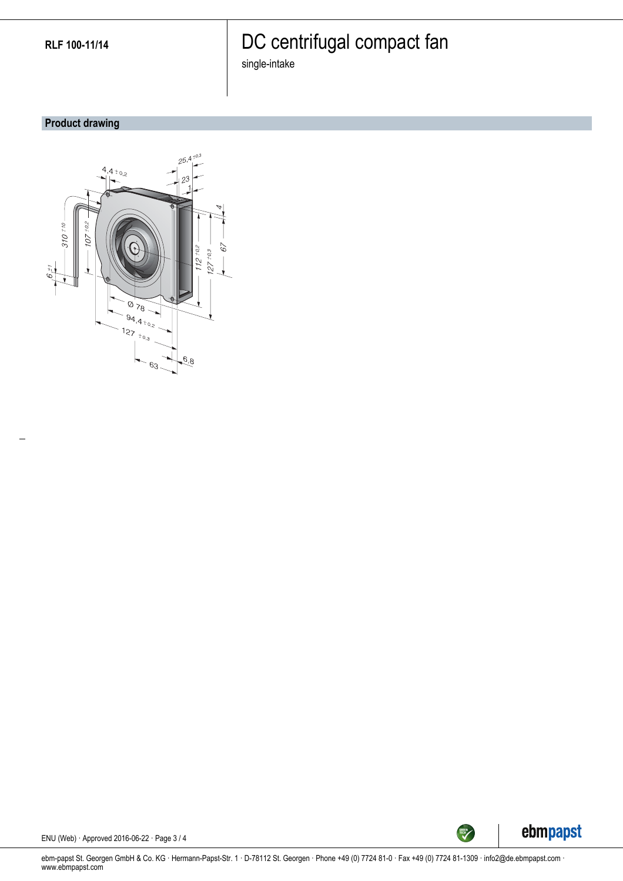# DC centrifugal compact fan

single-intake

### **Product drawing**





ENU (Web) · Approved 2016-06-22 · Page 3 / 4